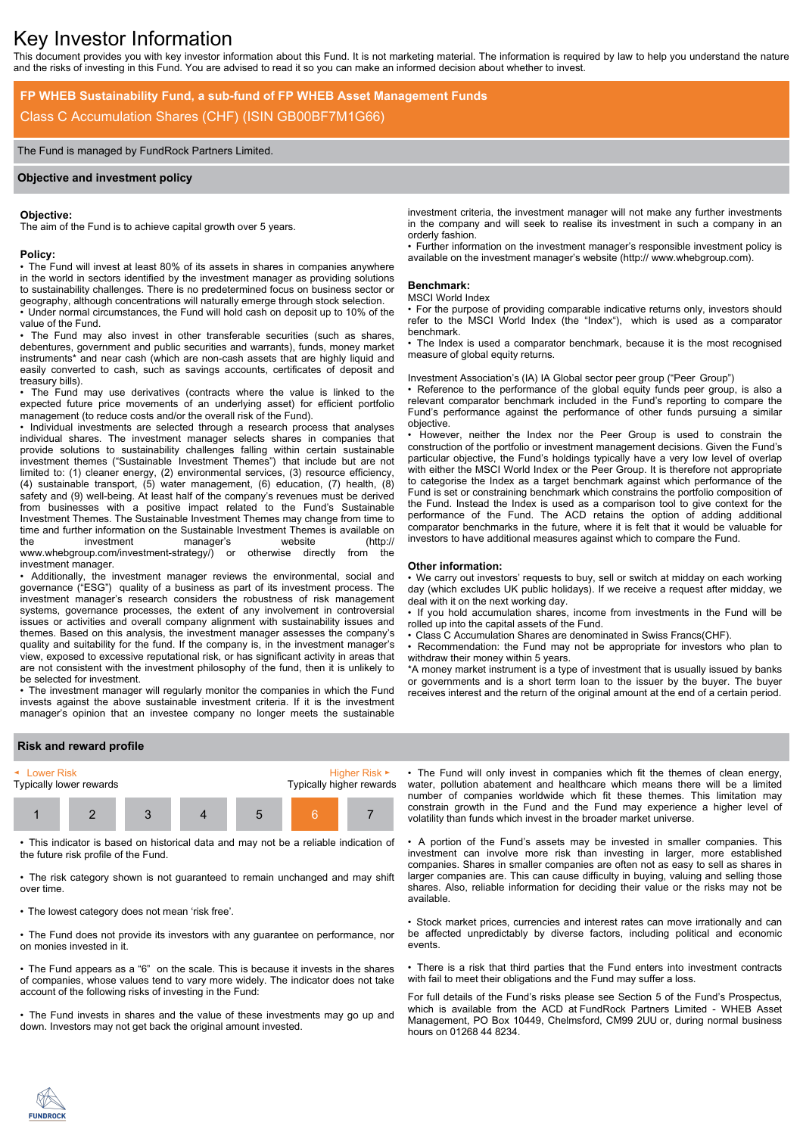# Key Investor Information

This document provides you with key investor information about this Fund. It is not marketing material. The information is required by law to help you understand the nature and the risks of investing in this Fund. You are advised to read it so you can make an informed decision about whether to invest.

# **FP WHEB Sustainability Fund, a sub-fund of FP WHEB Asset Management Funds** Class C Accumulation Shares (CHF) (ISIN GB00BF7M1G66)

# The Fund is managed by FundRock Partners Limited.

#### **Objective and investment policy**

#### **Objective:**

The aim of the Fund is to achieve capital growth over 5 years.

#### **Policy:**

• The Fund will invest at least 80% of its assets in shares in companies anywhere in the world in sectors identified by the investment manager as providing solutions to sustainability challenges. There is no predetermined focus on business sector or geography, although concentrations will naturally emerge through stock selection.

• Under normal circumstances, the Fund will hold cash on deposit up to 10% of the value of the Fund.

The Fund may also invest in other transferable securities (such as shares, debentures, government and public securities and warrants), funds, money market instruments\* and near cash (which are non-cash assets that are highly liquid and easily converted to cash, such as savings accounts, certificates of deposit and treasury bills).

• The Fund may use derivatives (contracts where the value is linked to the expected future price movements of an underlying asset) for efficient portfolio management (to reduce costs and/or the overall risk of the Fund).

• Individual investments are selected through a research process that analyses individual shares. The investment manager selects shares in companies that provide solutions to sustainability challenges falling within certain sustainable investment themes ("Sustainable Investment Themes") that include but are not limited to: (1) cleaner energy, (2) environmental services, (3) resource efficiency, (4) sustainable transport, (5) water management, (6) education, (7) health, (8) safety and (9) well-being. At least half of the company's revenues must be derived from businesses with a positive impact related to the Fund's Sustainable Investment Themes. The Sustainable Investment Themes may change from time to time and further information on the Sustainable Investment Themes is available on the investment manager's website (http:// www.whebgroup.com/investment-strategy/) or otherwise directly from the investment manager.

• Additionally, the investment manager reviews the environmental, social and governance ("ESG") quality of a business as part of its investment process. The investment manager's research considers the robustness of risk management systems, governance processes, the extent of any involvement in controversial issues or activities and overall company alignment with sustainability issues and themes. Based on this analysis, the investment manager assesses the company's quality and suitability for the fund. If the company is, in the investment manager's view, exposed to excessive reputational risk, or has significant activity in areas that are not consistent with the investment philosophy of the fund, then it is unlikely to be selected for investment.

• The investment manager will regularly monitor the companies in which the Fund invests against the above sustainable investment criteria. If it is the investment manager's opinion that an investee company no longer meets the sustainable

investment criteria, the investment manager will not make any further investments in the company and will seek to realise its investment in such a company in an orderly fashion.

• Further information on the investment manager's responsible investment policy is available on the investment manager's website (http:// www.whebgroup.com).

#### **Benchmark:**

#### MSCI World Index

• For the purpose of providing comparable indicative returns only, investors should refer to the MSCI World Index (the "Index"), which is used as a comparator benchmark.

• The Index is used a comparator benchmark, because it is the most recognised measure of global equity returns.

Investment Association's (IA) IA Global sector peer group ("Peer Group")

• Reference to the performance of the global equity funds peer group, is also a relevant comparator benchmark included in the Fund's reporting to compare the Fund's performance against the performance of other funds pursuing a similar objective.

• However, neither the Index nor the Peer Group is used to constrain the construction of the portfolio or investment management decisions. Given the Fund's particular objective, the Fund's holdings typically have a very low level of overlap with either the MSCI World Index or the Peer Group. It is therefore not appropriate to categorise the Index as a target benchmark against which performance of the Fund is set or constraining benchmark which constrains the portfolio composition of the Fund. Instead the Index is used as a comparison tool to give context for the performance of the Fund. The ACD retains the option of adding additional comparator benchmarks in the future, where it is felt that it would be valuable for investors to have additional measures against which to compare the Fund.

#### **Other information:**

• We carry out investors' requests to buy, sell or switch at midday on each working day (which excludes UK public holidays). If we receive a request after midday, we deal with it on the next working day.

• If you hold accumulation shares, income from investments in the Fund will be rolled up into the capital assets of the Fund.

• Class C Accumulation Shares are denominated in Swiss Francs(CHF).

• Recommendation: the Fund may not be appropriate for investors who plan to withdraw their money within 5 years.

\*A money market instrument is a type of investment that is usually issued by banks or governments and is a short term loan to the issuer by the buyer. The buyer receives interest and the return of the original amount at the end of a certain period.

## **Risk and reward profile**



• This indicator is based on historical data and may not be a reliable indication of the future risk profile of the Fund.

• The risk category shown is not guaranteed to remain unchanged and may shift over time.

• The lowest category does not mean 'risk free'.

• The Fund does not provide its investors with any guarantee on performance, nor on monies invested in it.

• The Fund appears as a "6" on the scale. This is because it invests in the shares of companies, whose values tend to vary more widely. The indicator does not take account of the following risks of investing in the Fund:

• The Fund invests in shares and the value of these investments may go up and down. Investors may not get back the original amount invested.

• The Fund will only invest in companies which fit the themes of clean energy, water, pollution abatement and healthcare which means there will be a limited number of companies worldwide which fit these themes. This limitation may constrain growth in the Fund and the Fund may experience a higher level of volatility than funds which invest in the broader market universe.

• A portion of the Fund's assets may be invested in smaller companies. This investment can involve more risk than investing in larger, more established companies. Shares in smaller companies are often not as easy to sell as shares in larger companies are. This can cause difficulty in buying, valuing and selling those shares. Also, reliable information for deciding their value or the risks may not be available.

• Stock market prices, currencies and interest rates can move irrationally and can be affected unpredictably by diverse factors, including political and economic events.

• There is a risk that third parties that the Fund enters into investment contracts with fail to meet their obligations and the Fund may suffer a loss.

For full details of the Fund's risks please see Section 5 of the Fund's Prospectus, which is available from the ACD at FundRock Partners Limited - WHEB Asset Management, PO Box 10449, Chelmsford, CM99 2UU or, during normal business hours on 01268 44 8234.